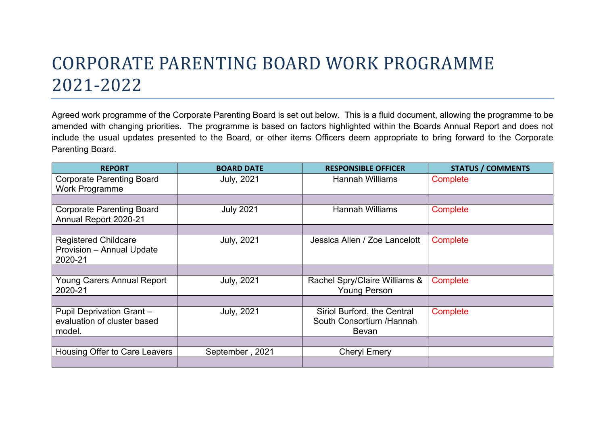## CORPORATE PARENTING BOARD WORK PROGRAMME 2021-2022

Agreed work programme of the Corporate Parenting Board is set out below. This is a fluid document, allowing the programme to be amended with changing priorities. The programme is based on factors highlighted within the Boards Annual Report and does not include the usual updates presented to the Board, or other items Officers deem appropriate to bring forward to the Corporate Parenting Board.

| <b>REPORT</b>                                                            | <b>BOARD DATE</b> | <b>RESPONSIBLE OFFICER</b>                                       | <b>STATUS / COMMENTS</b> |
|--------------------------------------------------------------------------|-------------------|------------------------------------------------------------------|--------------------------|
| <b>Corporate Parenting Board</b><br><b>Work Programme</b>                | <b>July, 2021</b> | <b>Hannah Williams</b>                                           | Complete                 |
|                                                                          |                   |                                                                  |                          |
| <b>Corporate Parenting Board</b><br>Annual Report 2020-21                | <b>July 2021</b>  | <b>Hannah Williams</b>                                           | Complete                 |
|                                                                          |                   |                                                                  |                          |
| <b>Registered Childcare</b><br>Provision - Annual Update<br>2020-21      | <b>July, 2021</b> | Jessica Allen / Zoe Lancelott                                    | Complete                 |
|                                                                          |                   |                                                                  |                          |
| <b>Young Carers Annual Report</b><br>2020-21                             | <b>July, 2021</b> | Rachel Spry/Claire Williams &<br><b>Young Person</b>             | Complete                 |
|                                                                          |                   |                                                                  |                          |
| <b>Pupil Deprivation Grant-</b><br>evaluation of cluster based<br>model. | <b>July, 2021</b> | Siriol Burford, the Central<br>South Consortium /Hannah<br>Bevan | Complete                 |
|                                                                          |                   |                                                                  |                          |
| Housing Offer to Care Leavers                                            | September, 2021   | <b>Cheryl Emery</b>                                              |                          |
|                                                                          |                   |                                                                  |                          |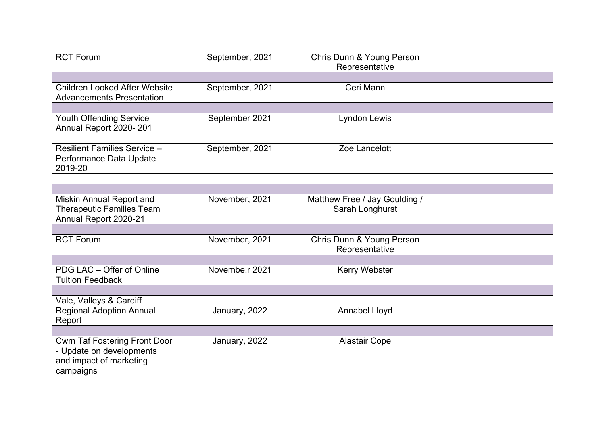| <b>RCT Forum</b>                                                                                        | September, 2021 | Chris Dunn & Young Person<br>Representative      |  |
|---------------------------------------------------------------------------------------------------------|-----------------|--------------------------------------------------|--|
| <b>Children Looked After Website</b><br><b>Advancements Presentation</b>                                | September, 2021 | Ceri Mann                                        |  |
|                                                                                                         |                 |                                                  |  |
| <b>Youth Offending Service</b><br>Annual Report 2020-201                                                | September 2021  | <b>Lyndon Lewis</b>                              |  |
|                                                                                                         |                 |                                                  |  |
| <b>Resilient Families Service -</b><br>Performance Data Update<br>2019-20                               | September, 2021 | Zoe Lancelott                                    |  |
|                                                                                                         |                 |                                                  |  |
|                                                                                                         |                 |                                                  |  |
| <b>Miskin Annual Report and</b><br><b>Therapeutic Families Team</b><br>Annual Report 2020-21            | November, 2021  | Matthew Free / Jay Goulding /<br>Sarah Longhurst |  |
|                                                                                                         |                 |                                                  |  |
| <b>RCT Forum</b>                                                                                        | November, 2021  | Chris Dunn & Young Person<br>Representative      |  |
|                                                                                                         |                 |                                                  |  |
| PDG LAC - Offer of Online<br><b>Tuition Feedback</b>                                                    | Novembe, r 2021 | <b>Kerry Webster</b>                             |  |
|                                                                                                         |                 |                                                  |  |
| Vale, Valleys & Cardiff<br><b>Regional Adoption Annual</b><br>Report                                    | January, 2022   | <b>Annabel Lloyd</b>                             |  |
|                                                                                                         |                 |                                                  |  |
| <b>Cwm Taf Fostering Front Door</b><br>- Update on developments<br>and impact of marketing<br>campaigns | January, 2022   | <b>Alastair Cope</b>                             |  |